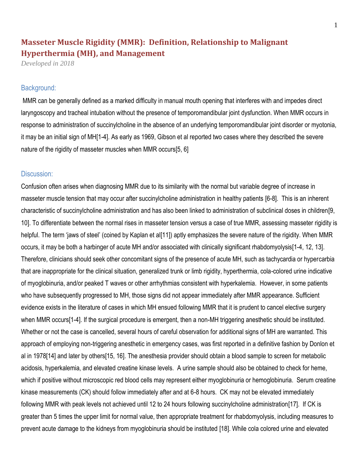# **Masseter Muscle Rigidity (MMR): Definition, Relationship to Malignant Hyperthermia (MH), and Management**

*Developed in 2018*

### Background:

MMR can be generally defined as a marked difficulty in manual mouth opening that interferes with and impedes direct laryngoscopy and tracheal intubation without the presence of temporomandibular joint dysfunction. When MMR occurs in response to administration of succinylcholine in the absence of an underlying temporomandibular joint disorder or myotonia, it may be an initial sign of MH[1-4]. As early as 1969, Gibson et al reported two cases where they described the severe nature of the rigidity of masseter muscles when MMR occurs[5, 6]

## Discussion:

Confusion often arises when diagnosing MMR due to its similarity with the normal but variable degree of increase in masseter muscle tension that may occur after succinylcholine administration in healthy patients [6-8]. This is an inherent characteristic of succinylcholine administration and has also been linked to administration of subclinical doses in children[9, 10]. To differentiate between the normal rises in masseter tension versus a case of true MMR, assessing masseter rigidity is helpful. The term 'jaws of steel' (coined by Kaplan et al[11]) aptly emphasizes the severe nature of the rigidity. When MMR occurs, it may be both a harbinger of acute MH and/or associated with clinically significant rhabdomyolysis[1-4, 12, 13]. Therefore, clinicians should seek other concomitant signs of the presence of acute MH, such as tachycardia or hypercarbia that are inappropriate for the clinical situation, generalized trunk or limb rigidity, hyperthermia, cola-colored urine indicative of myoglobinuria, and/or peaked T waves or other arrhythmias consistent with hyperkalemia. However, in some patients who have subsequently progressed to MH, those signs did not appear immediately after MMR appearance. Sufficient evidence exists in the literature of cases in which MH ensued following MMR that it is prudent to cancel elective surgery when MMR occurs[1-4]. If the surgical procedure is emergent, then a non-MH triggering anesthetic should be instituted. Whether or not the case is cancelled, several hours of careful observation for additional signs of MH are warranted. This approach of employing non-triggering anesthetic in emergency cases, was first reported in a definitive fashion by Donlon et al in 1978[14] and later by others[15, 16]. The anesthesia provider should obtain a blood sample to screen for metabolic acidosis, hyperkalemia, and elevated creatine kinase levels. A urine sample should also be obtained to check for heme, which if positive without microscopic red blood cells may represent either myoglobinuria or hemoglobinuria. Serum creatine kinase measurements (CK) should follow immediately after and at 6-8 hours. CK may not be elevated immediately following MMR with peak levels not achieved until 12 to 24 hours following succinylcholine administration[17]. If CK is greater than 5 times the upper limit for normal value, then appropriate treatment for rhabdomyolysis, including measures to prevent acute damage to the kidneys from myoglobinuria should be instituted [18]. While cola colored urine and elevated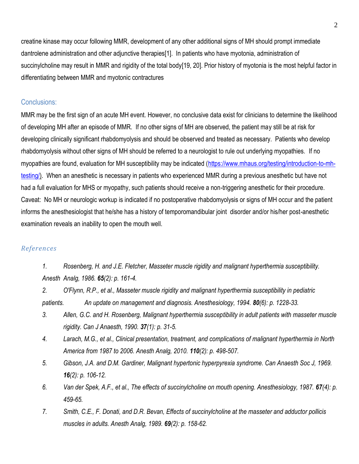creatine kinase may occur following MMR, development of any other additional signs of MH should prompt immediate dantrolene administration and other adjunctive therapies[1]. In patients who have myotonia, administration of succinylcholine may result in MMR and rigidity of the total body[19, 20]. Prior history of myotonia is the most helpful factor in differentiating between MMR and myotonic contractures

## Conclusions:

MMR may be the first sign of an acute MH event. However, no conclusive data exist for clinicians to determine the likelihood of developing MH after an episode of MMR. If no other signs of MH are observed, the patient may still be at risk for developing clinically significant rhabdomyolysis and should be observed and treated as necessary. Patients who develop rhabdomyolysis without other signs of MH should be referred to a neurologist to rule out underlying myopathies. If no myopathies are found, evaluation for MH susceptibility may be indicated [\(https://www.mhaus.org/testing/introduction-to-mh](https://www.mhaus.org/testing/introduction-to-mh-testing/)[testing/\)](https://www.mhaus.org/testing/introduction-to-mh-testing/). When an anesthetic is necessary in patients who experienced MMR during a previous anesthetic but have not had a full evaluation for MHS or myopathy, such patients should receive a non-triggering anesthetic for their procedure. Caveat: No MH or neurologic workup is indicated if no postoperative rhabdomyolysis or signs of MH occur and the patient informs the anesthesiologist that he/she has a history of temporomandibular joint disorder and/or his/her post-anesthetic examination reveals an inability to open the mouth well.

## *References*

- *1. Rosenberg, H. and J.E. Fletcher, Masseter muscle rigidity and malignant hyperthermia susceptibility. Anesth Analg, 1986. 65(2): p. 161-4.*
- *2. O'Flynn, R.P., et al., Masseter muscle rigidity and malignant hyperthermia susceptibility in pediatric patients. An update on management and diagnosis. Anesthesiology, 1994. 80(6): p. 1228-33.*
- *3. Allen, G.C. and H. Rosenberg, Malignant hyperthermia susceptibility in adult patients with masseter muscle rigidity. Can J Anaesth, 1990. 37(1): p. 31-5.*
- *4. Larach, M.G., et al., Clinical presentation, treatment, and complications of malignant hyperthermia in North America from 1987 to 2006. Anesth Analg, 2010. 110(2): p. 498-507.*
- *5. Gibson, J.A. and D.M. Gardiner, Malignant hypertonic hyperpyrexia syndrome. Can Anaesth Soc J, 1969. 16(2): p. 106-12.*
- *6. Van der Spek, A.F., et al., The effects of succinylcholine on mouth opening. Anesthesiology, 1987. 67(4): p. 459-65.*
- *7. Smith, C.E., F. Donati, and D.R. Bevan, Effects of succinylcholine at the masseter and adductor pollicis muscles in adults. Anesth Analg, 1989. 69(2): p. 158-62.*